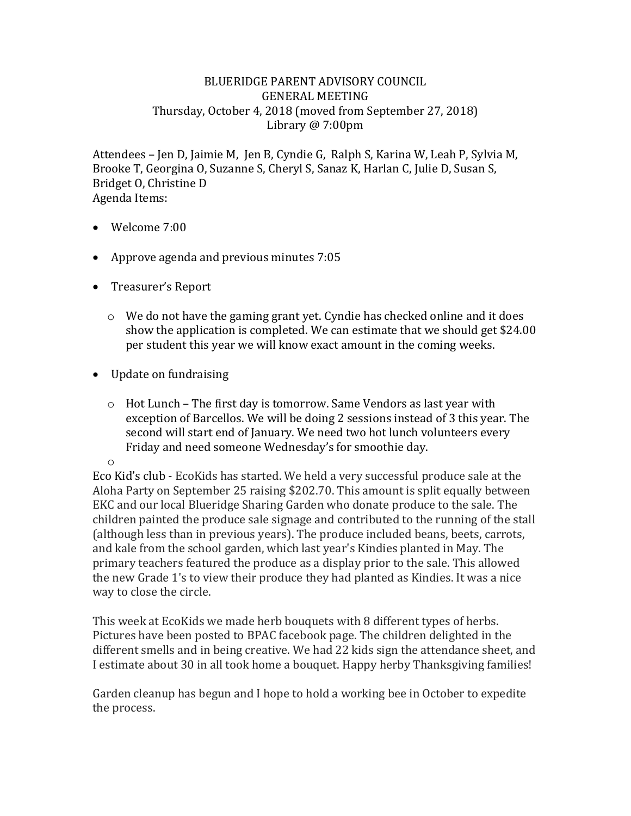## BLUERIDGE PARENT ADVISORY COUNCIL GENERAL MEETING Thursday, October 4, 2018 (moved from September 27, 2018) Library @ 7:00pm

Attendees – Jen D, Jaimie M, Jen B, Cyndie G, Ralph S, Karina W, Leah P, Sylvia M, Brooke T, Georgina O, Suzanne S, Cheryl S, Sanaz K, Harlan C, Julie D, Susan S, Bridget O, Christine D Agenda Items:

- Welcome 7:00
- Approve agenda and previous minutes 7:05
- Treasurer's Report
	- o We do not have the gaming grant yet. Cyndie has checked online and it does show the application is completed. We can estimate that we should get \$24.00 per student this year we will know exact amount in the coming weeks.
- Update on fundraising
	- $\circ$  Hot Lunch The first day is tomorrow. Same Vendors as last year with exception of Barcellos. We will be doing 2 sessions instead of 3 this year. The second will start end of January. We need two hot lunch volunteers every Friday and need someone Wednesday's for smoothie day.

o

Eco Kid's club - EcoKids has started. We held a very successful produce sale at the Aloha Party on September 25 raising \$202.70. This amount is split equally between EKC and our local Blueridge Sharing Garden who donate produce to the sale. The children painted the produce sale signage and contributed to the running of the stall (although less than in previous years). The produce included beans, beets, carrots, and kale from the school garden, which last year's Kindies planted in May. The primary teachers featured the produce as a display prior to the sale. This allowed the new Grade 1's to view their produce they had planted as Kindies. It was a nice way to close the circle.

This week at EcoKids we made herb bouquets with 8 different types of herbs. Pictures have been posted to BPAC facebook page. The children delighted in the different smells and in being creative. We had 22 kids sign the attendance sheet, and I estimate about 30 in all took home a bouquet. Happy herby Thanksgiving families!

Garden cleanup has begun and I hope to hold a working bee in October to expedite the process.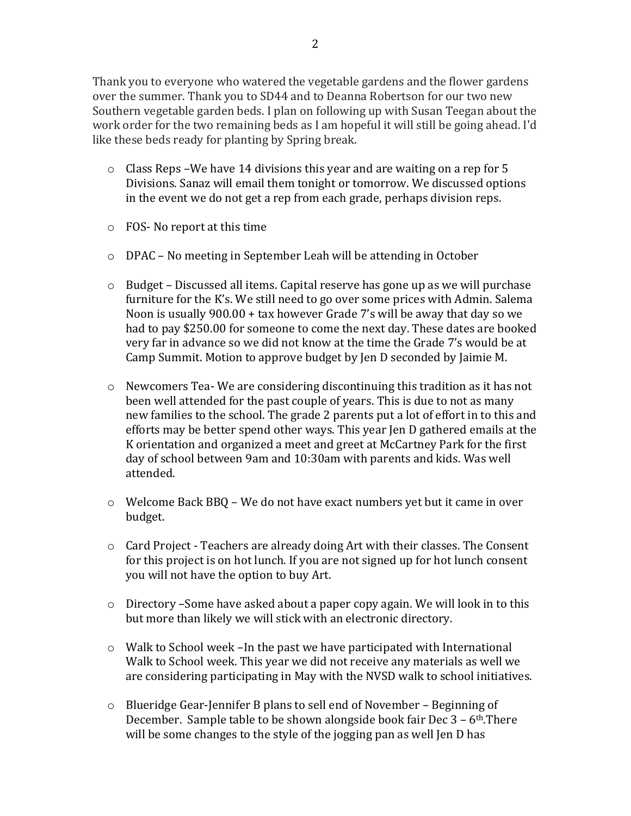Thank you to everyone who watered the vegetable gardens and the flower gardens over the summer. Thank you to SD44 and to Deanna Robertson for our two new Southern vegetable garden beds. I plan on following up with Susan Teegan about the work order for the two remaining beds as I am hopeful it will still be going ahead. I'd like these beds ready for planting by Spring break.

- o Class Reps –We have 14 divisions this year and are waiting on a rep for 5 Divisions. Sanaz will email them tonight or tomorrow. We discussed options in the event we do not get a rep from each grade, perhaps division reps.
- o FOS- No report at this time
- o DPAC No meeting in September Leah will be attending in October
- $\circ$  Budget Discussed all items. Capital reserve has gone up as we will purchase furniture for the K's. We still need to go over some prices with Admin. Salema Noon is usually 900.00 + tax however Grade 7's will be away that day so we had to pay \$250.00 for someone to come the next day. These dates are booked very far in advance so we did not know at the time the Grade 7's would be at Camp Summit. Motion to approve budget by Jen D seconded by Jaimie M.
- $\circ$  Newcomers Tea-We are considering discontinuing this tradition as it has not been well attended for the past couple of years. This is due to not as many new families to the school. The grade 2 parents put a lot of effort in to this and efforts may be better spend other ways. This year Jen D gathered emails at the K orientation and organized a meet and greet at McCartney Park for the first day of school between 9am and 10:30am with parents and kids. Was well attended.
- $\circ$  Welcome Back BBO We do not have exact numbers yet but it came in over budget.
- o Card Project Teachers are already doing Art with their classes. The Consent for this project is on hot lunch. If you are not signed up for hot lunch consent you will not have the option to buy Art.
- $\circ$  Directory –Some have asked about a paper copy again. We will look in to this but more than likely we will stick with an electronic directory.
- $\circ$  Walk to School week –In the past we have participated with International Walk to School week. This year we did not receive any materials as well we are considering participating in May with the NVSD walk to school initiatives.
- o Blueridge Gear-Jennifer B plans to sell end of November Beginning of December. Sample table to be shown alongside book fair Dec  $3 - 6$ <sup>th</sup>.There will be some changes to the style of the jogging pan as well Jen D has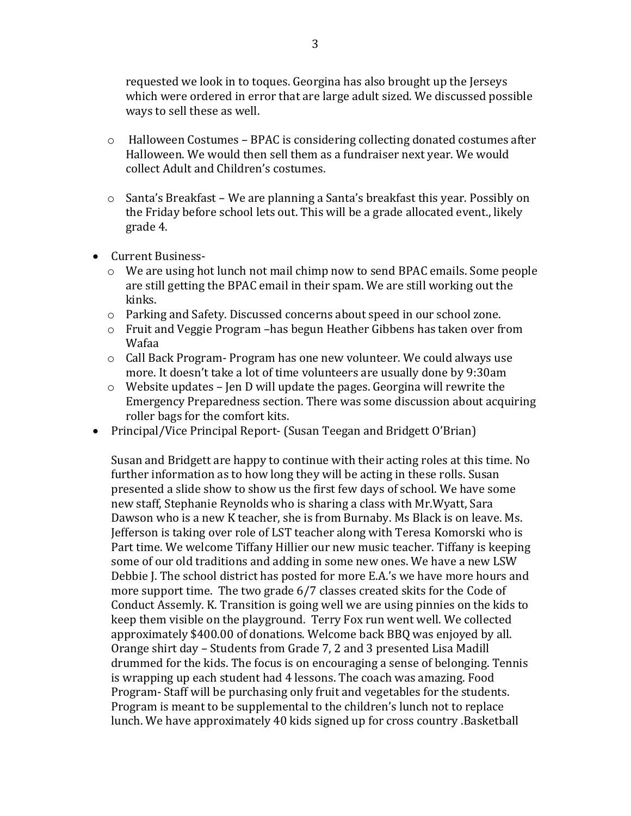requested we look in to toques. Georgina has also brought up the Jerseys which were ordered in error that are large adult sized. We discussed possible ways to sell these as well.

- o Halloween Costumes BPAC is considering collecting donated costumes after Halloween. We would then sell them as a fundraiser next year. We would collect Adult and Children's costumes.
- o Santa's Breakfast We are planning a Santa's breakfast this year. Possibly on the Friday before school lets out. This will be a grade allocated event., likely grade 4.
- Current Business
	- o We are using hot lunch not mail chimp now to send BPAC emails. Some people are still getting the BPAC email in their spam. We are still working out the kinks.
	- o Parking and Safety. Discussed concerns about speed in our school zone.
	- o Fruit and Veggie Program –has begun Heather Gibbens has taken over from Wafaa
	- $\circ$  Call Back Program- Program has one new volunteer. We could always use more. It doesn't take a lot of time volunteers are usually done by 9:30am
	- o Website updates Jen D will update the pages. Georgina will rewrite the Emergency Preparedness section. There was some discussion about acquiring roller bags for the comfort kits.
- Principal/Vice Principal Report- (Susan Teegan and Bridgett O'Brian)

Susan and Bridgett are happy to continue with their acting roles at this time. No further information as to how long they will be acting in these rolls. Susan presented a slide show to show us the first few days of school. We have some new staff, Stephanie Reynolds who is sharing a class with Mr.Wyatt, Sara Dawson who is a new K teacher, she is from Burnaby. Ms Black is on leave. Ms. Jefferson is taking over role of LST teacher along with Teresa Komorski who is Part time. We welcome Tiffany Hillier our new music teacher. Tiffany is keeping some of our old traditions and adding in some new ones. We have a new LSW Debbie J. The school district has posted for more E.A.'s we have more hours and more support time. The two grade 6/7 classes created skits for the Code of Conduct Assemly. K. Transition is going well we are using pinnies on the kids to keep them visible on the playground. Terry Fox run went well. We collected approximately \$400.00 of donations. Welcome back BBQ was enjoyed by all. Orange shirt day – Students from Grade 7, 2 and 3 presented Lisa Madill drummed for the kids. The focus is on encouraging a sense of belonging. Tennis is wrapping up each student had 4 lessons. The coach was amazing. Food Program- Staff will be purchasing only fruit and vegetables for the students. Program is meant to be supplemental to the children's lunch not to replace lunch. We have approximately 40 kids signed up for cross country .Basketball